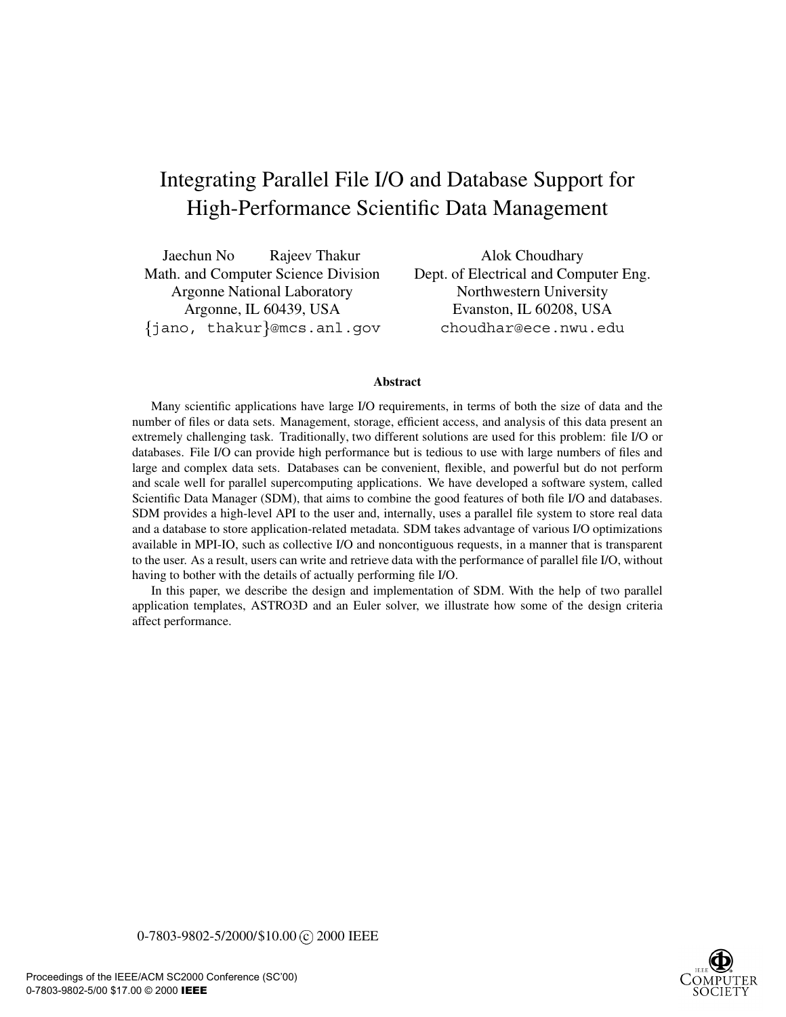# Integrating Parallel File I/O and Database Support for High-Performance Scientific Data Management

Jaechun No Rajeev Thakur Alok Choudhary Math. and Computer Science Division Dept. of Electrical and Computer Eng. Argonne National Laboratory Northwestern University jano, thakur @mcs.anl.gov choudhar@ece.nwu.edu

Argonne, IL 60439, USA Evanston, IL 60208, USA

#### **Abstract**

Many scientific applications have large I/O requirements, in terms of both the size of data and the number of files or data sets. Management, storage, efficient access, and analysis of this data present an extremely challenging task. Traditionally, two different solutions are used for this problem: file I/O or databases. File I/O can provide high performance but is tedious to use with large numbers of files and large and complex data sets. Databases can be convenient, flexible, and powerful but do not perform and scale well for parallel supercomputing applications. We have developed a software system, called Scientific Data Manager (SDM), that aims to combine the good features of both file I/O and databases. SDM provides a high-level API to the user and, internally, uses a parallel file system to store real data and a database to store application-related metadata. SDM takes advantage of various I/O optimizations available in MPI-IO, such as collective I/O and noncontiguous requests, in a manner that is transparent to the user. As a result, users can write and retrieve data with the performance of parallel file I/O, without having to bother with the details of actually performing file I/O.

In this paper, we describe the design and implementation of SDM. With the help of two parallel application templates, ASTRO3D and an Euler solver, we illustrate how some of the design criteria affect performance.

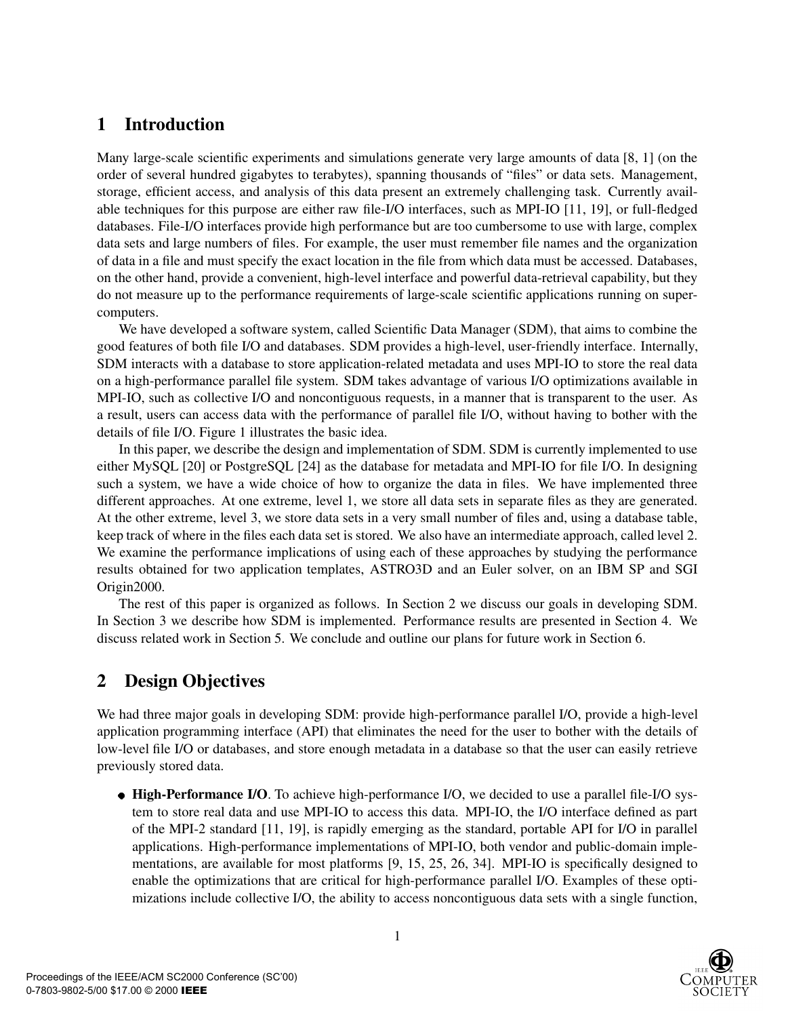## **1 Introduction**

Many large-scale scientific experiments and simulations generate very large amounts of data [8, 1] (on the order of several hundred gigabytes to terabytes), spanning thousands of "files" or data sets. Management, storage, efficient access, and analysis of this data present an extremely challenging task. Currently available techniques for this purpose are either raw file-I/O interfaces, such as MPI-IO [11, 19], or full-fledged databases. File-I/O interfaces provide high performance but are too cumbersome to use with large, complex data sets and large numbers of files. For example, the user must remember file names and the organization of data in a file and must specify the exact location in the file from which data must be accessed. Databases, on the other hand, provide a convenient, high-level interface and powerful data-retrieval capability, but they do not measure up to the performance requirements of large-scale scientific applications running on supercomputers.

We have developed a software system, called Scientific Data Manager (SDM), that aims to combine the good features of both file I/O and databases. SDM provides a high-level, user-friendly interface. Internally, SDM interacts with a database to store application-related metadata and uses MPI-IO to store the real data on a high-performance parallel file system. SDM takes advantage of various I/O optimizations available in MPI-IO, such as collective I/O and noncontiguous requests, in a manner that is transparent to the user. As a result, users can access data with the performance of parallel file I/O, without having to bother with the details of file I/O. Figure 1 illustrates the basic idea.

In this paper, we describe the design and implementation of SDM. SDM is currently implemented to use either MySQL [20] or PostgreSQL [24] as the database for metadata and MPI-IO for file I/O. In designing such a system, we have a wide choice of how to organize the data in files. We have implemented three different approaches. At one extreme, level 1, we store all data sets in separate files as they are generated. At the other extreme, level 3, we store data sets in a very small number of files and, using a database table, keep track of where in the files each data set is stored. We also have an intermediate approach, called level 2. We examine the performance implications of using each of these approaches by studying the performance results obtained for two application templates, ASTRO3D and an Euler solver, on an IBM SP and SGI Origin2000.

The rest of this paper is organized as follows. In Section 2 we discuss our goals in developing SDM. In Section 3 we describe how SDM is implemented. Performance results are presented in Section 4. We discuss related work in Section 5. We conclude and outline our plans for future work in Section 6.

# **2 Design Objectives**

We had three major goals in developing SDM: provide high-performance parallel I/O, provide a high-level application programming interface (API) that eliminates the need for the user to bother with the details of low-level file I/O or databases, and store enough metadata in a database so that the user can easily retrieve previously stored data.

**High-Performance I/O**. To achieve high-performance I/O, we decided to use a parallel file-I/O system to store real data and use MPI-IO to access this data. MPI-IO, the I/O interface defined as part of the MPI-2 standard [11, 19], is rapidly emerging as the standard, portable API for I/O in parallel applications. High-performance implementations of MPI-IO, both vendor and public-domain implementations, are available for most platforms [9, 15, 25, 26, 34]. MPI-IO is specifically designed to enable the optimizations that are critical for high-performance parallel I/O. Examples of these optimizations include collective I/O, the ability to access noncontiguous data sets with a single function,

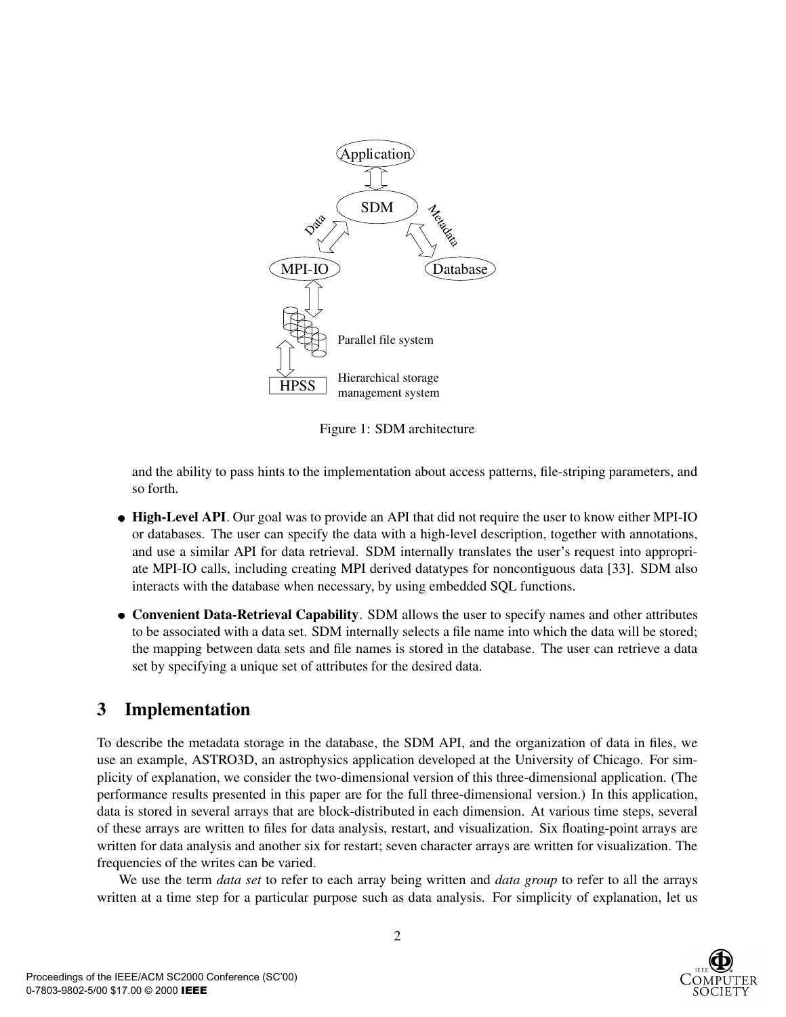

Figure 1: SDM architecture

and the ability to pass hints to the implementation about access patterns, file-striping parameters, and so forth.

- **High-Level API**. Our goal was to provide an API that did not require the user to know either MPI-IO or databases. The user can specify the data with a high-level description, together with annotations, and use a similar API for data retrieval. SDM internally translates the user's request into appropriate MPI-IO calls, including creating MPI derived datatypes for noncontiguous data [33]. SDM also interacts with the database when necessary, by using embedded SQL functions.
- **Convenient Data-Retrieval Capability**. SDM allows the user to specify names and other attributes to be associated with a data set. SDM internally selects a file name into which the data will be stored; the mapping between data sets and file names is stored in the database. The user can retrieve a data set by specifying a unique set of attributes for the desired data.

### **3 Implementation**

To describe the metadata storage in the database, the SDM API, and the organization of data in files, we use an example, ASTRO3D, an astrophysics application developed at the University of Chicago. For simplicity of explanation, we consider the two-dimensional version of this three-dimensional application. (The performance results presented in this paper are for the full three-dimensional version.) In this application, data is stored in several arrays that are block-distributed in each dimension. At various time steps, several of these arrays are written to files for data analysis, restart, and visualization. Six floating-point arrays are written for data analysis and another six for restart; seven character arrays are written for visualization. The frequencies of the writes can be varied.

We use the term *data set* to refer to each array being written and *data group* to refer to all the arrays written at a time step for a particular purpose such as data analysis. For simplicity of explanation, let us

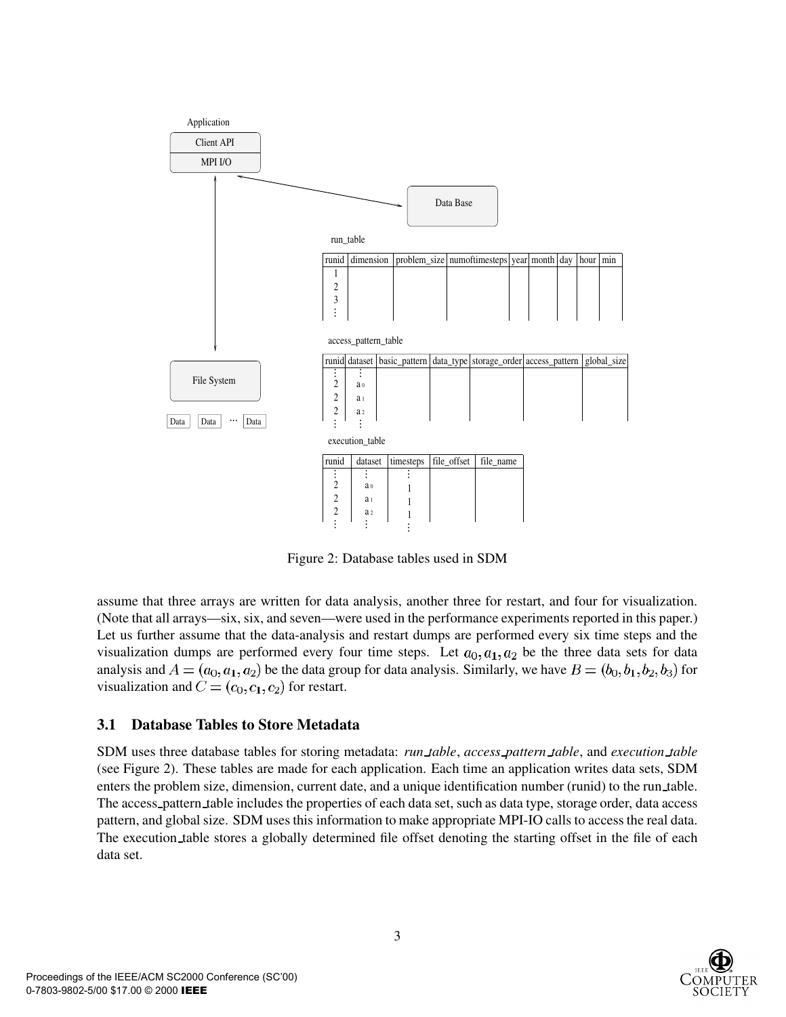

Figure 2: Database tables used in SDM

assume that three arrays are written for data analysis, another three for restart, and four for visualization. (Note that all arrays—six, six, and seven—were used in the performance experiments reported in this paper.) Let us further assume that the data-analysis and restart dumps are performed every six time steps and the visualization dumps are performed every four time steps. Let  $a_0$ ,  $a_1$ ,  $a_2$  be the three data sets for data analysis and  $A = (a_0, a_1, a_2)$  be the data group for data analysis. Similarly, we have  $B = (b_0, b_1, b_2, b_3)$  for visualization and  $C = (c_0, c_1, c_2)$  for restart.

### **3.1 Database Tables to Store Metadata**

SDM uses three database tables for storing metadata: *run table*, *access pattern table*, and *execution table* (see Figure 2). These tables are made for each application. Each time an application writes data sets, SDM enters the problem size, dimension, current date, and a unique identification number (runid) to the run table. The access pattern table includes the properties of each data set, such as data type, storage order, data access pattern, and global size. SDM uses this information to make appropriate MPI-IO calls to access the real data. The execution table stores a globally determined file offset denoting the starting offset in the file of each data set.

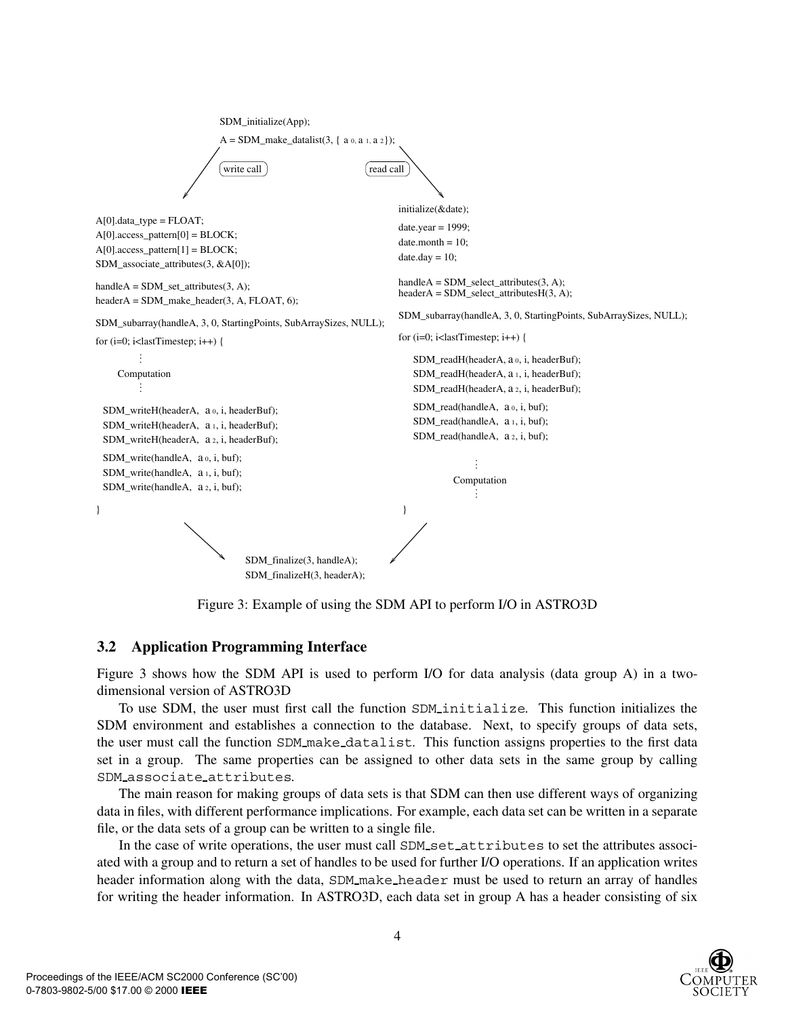```
SDM_finalize(3, handleA);
                                   SDM_finalizeH(3, headerA);
                             A = SDM\_make\_datalist(3, { a 0, a 1, a 2 });write call
                                                                       initialize(&date);
                                                                       date.year = 1999;
                                                                       date-month = 10;date.dav = 10;
                                                                       handleA = SDM select_attributes(3, A);
                                                                 read call
                                                                       headerA = SDM_select_attributeSH(3, A);SDM_subarray(handleA, 3, 0, StartingPoints, SubArraySizes, NULL);
                             SDM_initialize(App);
handleA = SDM_set_attributes(3, A);
headerA = SDM_make_header(3, A, FLOAT, 6); 
SDM_subarray(handleA, 3, 0, StartingPoints, SubArraySizes, NULL);
A[0].data_type = FLOAT;
A[0].access_pattern[0] = BLOCK;
A[0].access_pattern[1] = BLOCK;SDM_associate_attributes(3, &A[0]);
for (i=0; i<lastTimestep; i++) {
}
     Computation
          .
          .
          .
          .
          .
 SDM_writeH(headerA, a 0, i, headerBuf);
 SDM_writeH(headerA, a 1, i, headerBuf);
 SDM_writeH(headerA, a 2, i, headerBuf);
 SDM_write(handleA, a 0, i, buf);
 SDM_write(handleA, a<sub>1</sub>, i, buf);
 SDM_write(handleA, a 2, i, buf);
                                                                       for (i=0; i<lastTimestep; i++) {
                                                                           SDM_readH(headerA, a o, i, headerBuf);
                                                                           SDM_readH(headerA, a 1, i, headerBuf);
                                                                           SDM_readH(headerA, a 2, i, headerBuf);
                                                                           SDM_read(handleA, 
a 0, i, buf);
                                                                           SDM_read(handleA, 
a 1, i, buf);
                                                                           SDM_read(handleA, 
a 2, i, buf);
                                                                                    Computation .
                                                                                          .
.
                                                                                          .
                                                                                          .
                                                                                          .
                                                                        }
```
Figure 3: Example of using the SDM API to perform I/O in ASTRO3D

### **3.2 Application Programming Interface**

Figure 3 shows how the SDM API is used to perform I/O for data analysis (data group A) in a twodimensional version of ASTRO3D

To use SDM, the user must first call the function SDM initialize. This function initializes the SDM environment and establishes a connection to the database. Next, to specify groups of data sets, the user must call the function SDM make datalist. This function assigns properties to the first data set in a group. The same properties can be assigned to other data sets in the same group by calling SDM associate attributes.

The main reason for making groups of data sets is that SDM can then use different ways of organizing data in files, with different performance implications. For example, each data set can be written in a separate file, or the data sets of a group can be written to a single file.

In the case of write operations, the user must call SDM set attributes to set the attributes associated with a group and to return a set of handles to be used for further I/O operations. If an application writes header information along with the data, SDM make header must be used to return an array of handles for writing the header information. In ASTRO3D, each data set in group A has a header consisting of six

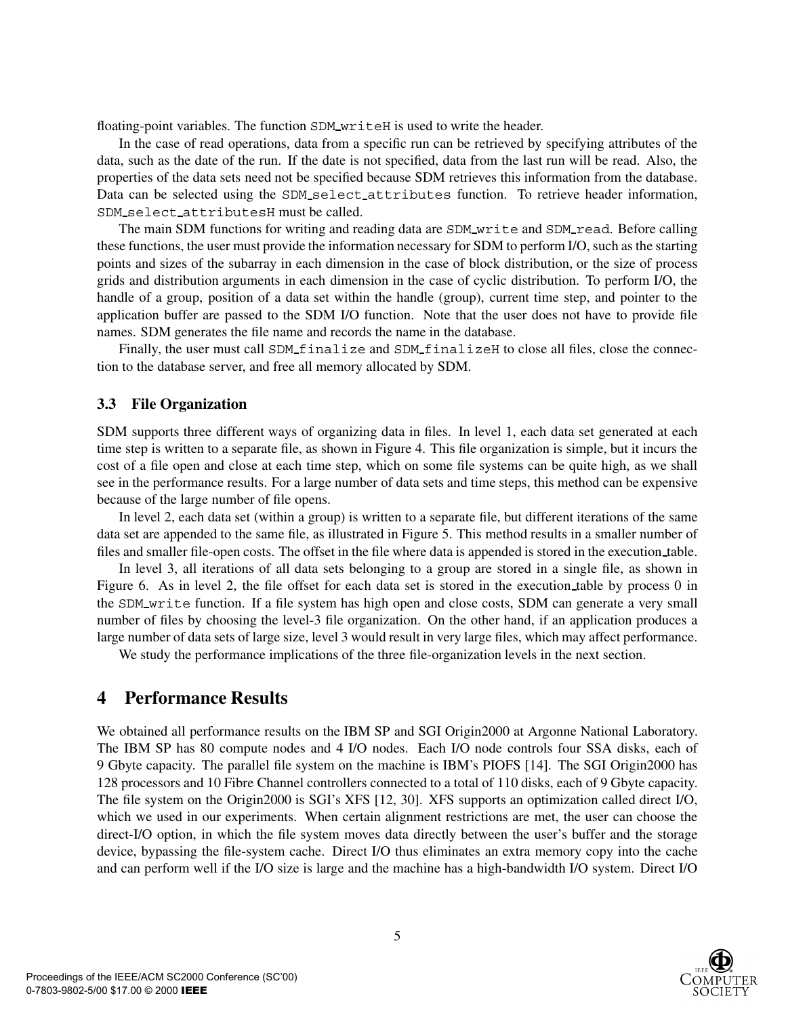floating-point variables. The function SDM\_writeH is used to write the header.

In the case of read operations, data from a specific run can be retrieved by specifying attributes of the data, such as the date of the run. If the date is not specified, data from the last run will be read. Also, the properties of the data sets need not be specified because SDM retrieves this information from the database. Data can be selected using the SDM\_select\_attributes function. To retrieve header information, SDM select attributesH must be called.

The main SDM functions for writing and reading data are SDM write and SDM read. Before calling these functions, the user must provide the information necessary for SDM to perform I/O, such as the starting points and sizes of the subarray in each dimension in the case of block distribution, or the size of process grids and distribution arguments in each dimension in the case of cyclic distribution. To perform I/O, the handle of a group, position of a data set within the handle (group), current time step, and pointer to the application buffer are passed to the SDM I/O function. Note that the user does not have to provide file names. SDM generates the file name and records the name in the database.

Finally, the user must call SDM finalize and SDM finalizeH to close all files, close the connection to the database server, and free all memory allocated by SDM.

#### **3.3 File Organization**

SDM supports three different ways of organizing data in files. In level 1, each data set generated at each time step is written to a separate file, as shown in Figure 4. This file organization is simple, but it incurs the cost of a file open and close at each time step, which on some file systems can be quite high, as we shall see in the performance results. For a large number of data sets and time steps, this method can be expensive because of the large number of file opens.

In level 2, each data set (within a group) is written to a separate file, but different iterations of the same data set are appended to the same file, as illustrated in Figure 5. This method results in a smaller number of files and smaller file-open costs. The offset in the file where data is appended is stored in the execution table.

In level 3, all iterations of all data sets belonging to a group are stored in a single file, as shown in Figure 6. As in level 2, the file offset for each data set is stored in the execution table by process 0 in the SDM write function. If a file system has high open and close costs, SDM can generate a very small number of files by choosing the level-3 file organization. On the other hand, if an application produces a large number of data sets of large size, level 3 would result in very large files, which may affect performance.

We study the performance implications of the three file-organization levels in the next section.

### **4 Performance Results**

We obtained all performance results on the IBM SP and SGI Origin2000 at Argonne National Laboratory. The IBM SP has 80 compute nodes and 4 I/O nodes. Each I/O node controls four SSA disks, each of 9 Gbyte capacity. The parallel file system on the machine is IBM's PIOFS [14]. The SGI Origin2000 has 128 processors and 10 Fibre Channel controllers connected to a total of 110 disks, each of 9 Gbyte capacity. The file system on the Origin2000 is SGI's XFS [12, 30]. XFS supports an optimization called direct I/O, which we used in our experiments. When certain alignment restrictions are met, the user can choose the direct-I/O option, in which the file system moves data directly between the user's buffer and the storage device, bypassing the file-system cache. Direct I/O thus eliminates an extra memory copy into the cache and can perform well if the I/O size is large and the machine has a high-bandwidth I/O system. Direct I/O

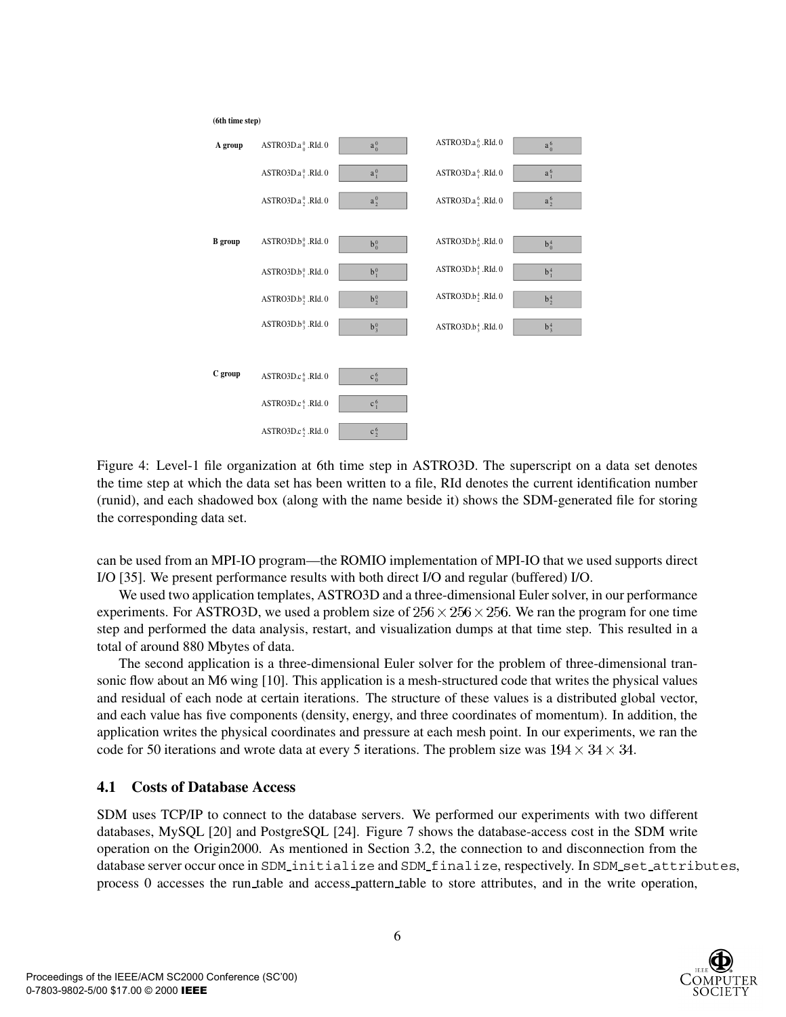

Figure 4: Level-1 file organization at 6th time step in ASTRO3D. The superscript on a data set denotes the time step at which the data set has been written to a file, RId denotes the current identification number (runid), and each shadowed box (along with the name beside it) shows the SDM-generated file for storing the corresponding data set.

can be used from an MPI-IO program—the ROMIO implementation of MPI-IO that we used supports direct I/O [35]. We present performance results with both direct I/O and regular (buffered) I/O.

We used two application templates, ASTRO3D and a three-dimensional Euler solver, in our performance experiments. For ASTRO3D, we used a problem size of  $256 \times 256 \times 256$ . We ran the program for one time step and performed the data analysis, restart, and visualization dumps at that time step. This resulted in a total of around 880 Mbytes of data.

The second application is a three-dimensional Euler solver for the problem of three-dimensional transonic flow about an M6 wing [10]. This application is a mesh-structured code that writes the physical values and residual of each node at certain iterations. The structure of these values is a distributed global vector, and each value has five components (density, energy, and three coordinates of momentum). In addition, the application writes the physical coordinates and pressure at each mesh point. In our experiments, we ran the code for 50 iterations and wrote data at every 5 iterations. The problem size was  $194 \times 34 \times 34$ .

### **4.1 Costs of Database Access**

SDM uses TCP/IP to connect to the database servers. We performed our experiments with two different databases, MySQL [20] and PostgreSQL [24]. Figure 7 shows the database-access cost in the SDM write operation on the Origin2000. As mentioned in Section 3.2, the connection to and disconnection from the database server occur once in SDM\_initialize and SDM\_finalize, respectively. In SDM\_set\_attributes, process 0 accesses the run table and access pattern table to store attributes, and in the write operation,

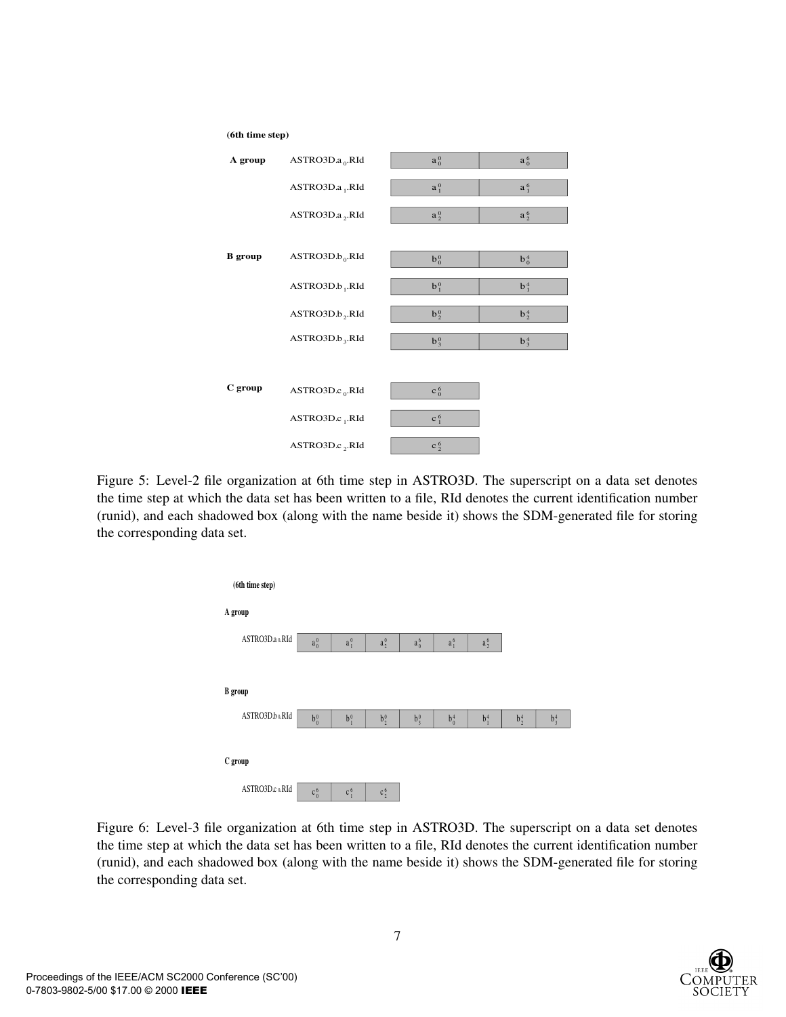

Figure 5: Level-2 file organization at 6th time step in ASTRO3D. The superscript on a data set denotes the time step at which the data set has been written to a file, RId denotes the current identification number (runid), and each shadowed box (along with the name beside it) shows the SDM-generated file for storing the corresponding data set.



Figure 6: Level-3 file organization at 6th time step in ASTRO3D. The superscript on a data set denotes the time step at which the data set has been written to a file, RId denotes the current identification number (runid), and each shadowed box (along with the name beside it) shows the SDM-generated file for storing the corresponding data set.

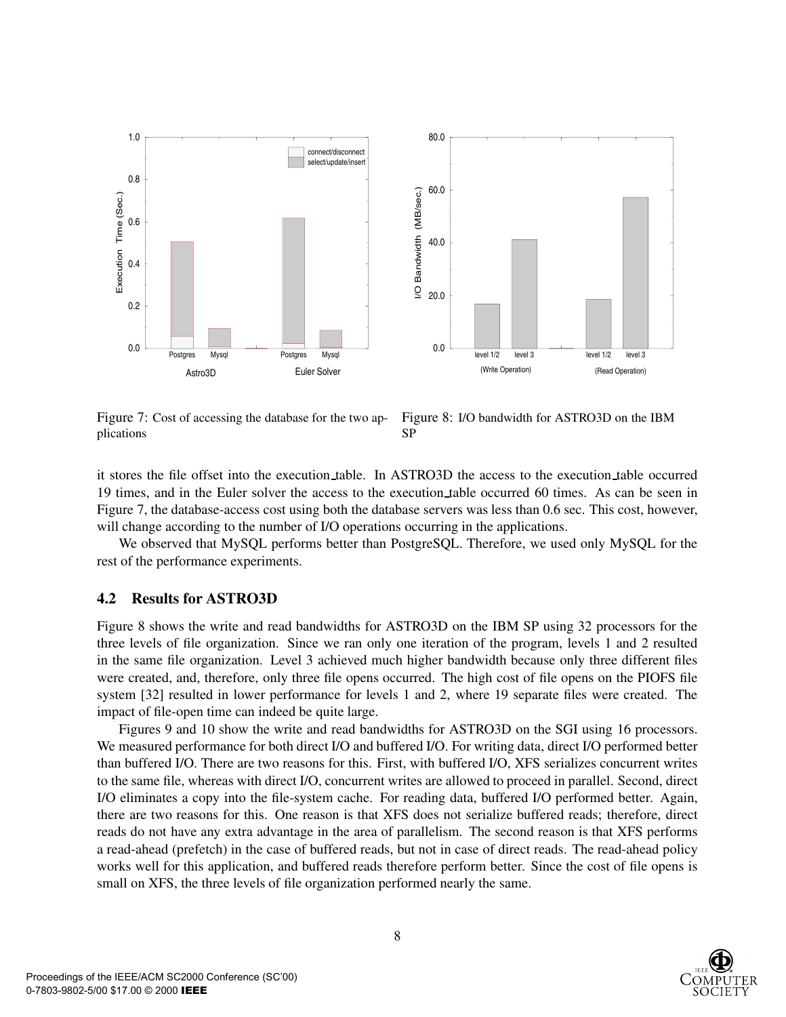

Figure 7: Cost of accessing the database for the two applications

Figure 8: I/O bandwidth for ASTRO3D on the IBM SP

it stores the file offset into the execution table. In ASTRO3D the access to the execution table occurred 19 times, and in the Euler solver the access to the execution table occurred 60 times. As can be seen in Figure 7, the database-access cost using both the database servers was less than 0.6 sec. This cost, however, will change according to the number of I/O operations occurring in the applications.

We observed that MySQL performs better than PostgreSQL. Therefore, we used only MySQL for the rest of the performance experiments.

#### **4.2 Results for ASTRO3D**

Figure 8 shows the write and read bandwidths for ASTRO3D on the IBM SP using 32 processors for the three levels of file organization. Since we ran only one iteration of the program, levels 1 and 2 resulted in the same file organization. Level 3 achieved much higher bandwidth because only three different files were created, and, therefore, only three file opens occurred. The high cost of file opens on the PIOFS file system [32] resulted in lower performance for levels 1 and 2, where 19 separate files were created. The impact of file-open time can indeed be quite large.

Figures 9 and 10 show the write and read bandwidths for ASTRO3D on the SGI using 16 processors. We measured performance for both direct I/O and buffered I/O. For writing data, direct I/O performed better than buffered I/O. There are two reasons for this. First, with buffered I/O, XFS serializes concurrent writes to the same file, whereas with direct I/O, concurrent writes are allowed to proceed in parallel. Second, direct I/O eliminates a copy into the file-system cache. For reading data, buffered I/O performed better. Again, there are two reasons for this. One reason is that XFS does not serialize buffered reads; therefore, direct reads do not have any extra advantage in the area of parallelism. The second reason is that XFS performs a read-ahead (prefetch) in the case of buffered reads, but not in case of direct reads. The read-ahead policy works well for this application, and buffered reads therefore perform better. Since the cost of file opens is small on XFS, the three levels of file organization performed nearly the same.

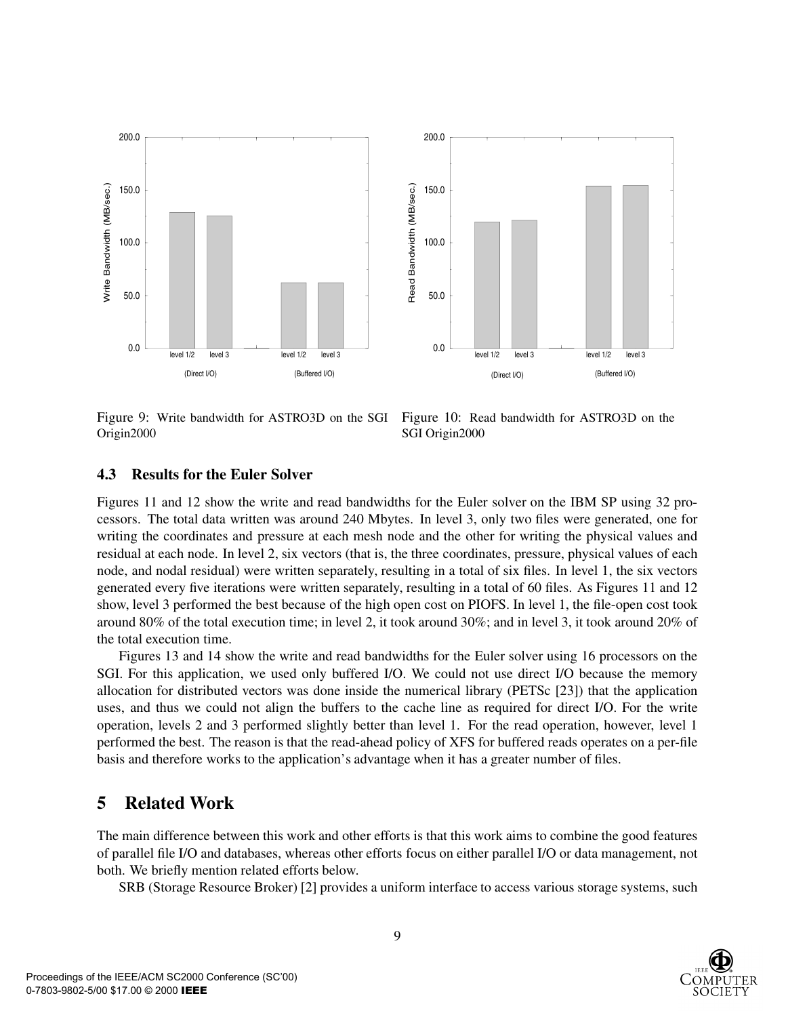

Figure 9: Write bandwidth for ASTRO3D on the SGI Origin2000

Figure 10: Read bandwidth for ASTRO3D on the SGI Origin2000

#### **4.3 Results for the Euler Solver**

Figures 11 and 12 show the write and read bandwidths for the Euler solver on the IBM SP using 32 processors. The total data written was around 240 Mbytes. In level 3, only two files were generated, one for writing the coordinates and pressure at each mesh node and the other for writing the physical values and residual at each node. In level 2, six vectors (that is, the three coordinates, pressure, physical values of each node, and nodal residual) were written separately, resulting in a total of six files. In level 1, the six vectors generated every five iterations were written separately, resulting in a total of 60 files. As Figures 11 and 12 show, level 3 performed the best because of the high open cost on PIOFS. In level 1, the file-open cost took around 80% of the total execution time; in level 2, it took around 30%; and in level 3, it took around 20% of the total execution time.

Figures 13 and 14 show the write and read bandwidths for the Euler solver using 16 processors on the SGI. For this application, we used only buffered I/O. We could not use direct I/O because the memory allocation for distributed vectors was done inside the numerical library (PETSc [23]) that the application uses, and thus we could not align the buffers to the cache line as required for direct I/O. For the write operation, levels 2 and 3 performed slightly better than level 1. For the read operation, however, level 1 performed the best. The reason is that the read-ahead policy of XFS for buffered reads operates on a per-file basis and therefore works to the application's advantage when it has a greater number of files.

### **5 Related Work**

The main difference between this work and other efforts is that this work aims to combine the good features of parallel file I/O and databases, whereas other efforts focus on either parallel I/O or data management, not both. We briefly mention related efforts below.

SRB (Storage Resource Broker) [2] provides a uniform interface to access various storage systems, such

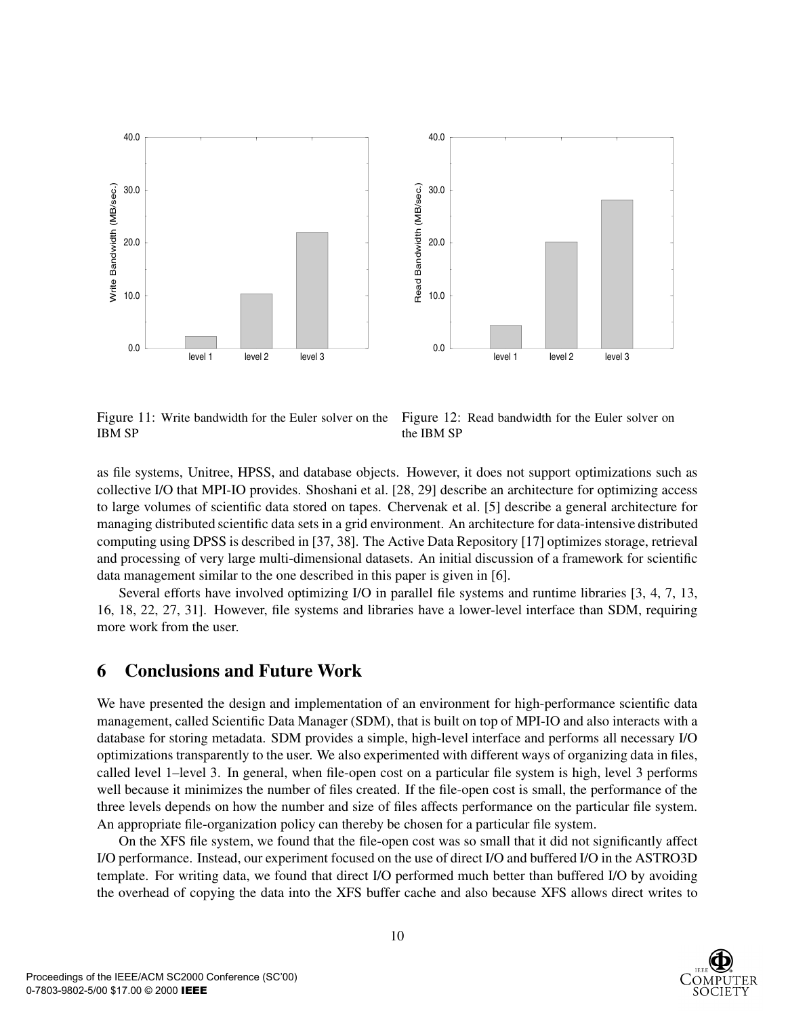

Figure 11: Write bandwidth for the Euler solver on the IBM SP

Figure 12: Read bandwidth for the Euler solver on the IBM SP

as file systems, Unitree, HPSS, and database objects. However, it does not support optimizations such as collective I/O that MPI-IO provides. Shoshani et al. [28, 29] describe an architecture for optimizing access to large volumes of scientific data stored on tapes. Chervenak et al. [5] describe a general architecture for managing distributed scientific data sets in a grid environment. An architecture for data-intensive distributed computing using DPSS is described in [37, 38]. The Active Data Repository [17] optimizes storage, retrieval and processing of very large multi-dimensional datasets. An initial discussion of a framework for scientific data management similar to the one described in this paper is given in [6].

Several efforts have involved optimizing I/O in parallel file systems and runtime libraries [3, 4, 7, 13, 16, 18, 22, 27, 31]. However, file systems and libraries have a lower-level interface than SDM, requiring more work from the user.

### **6 Conclusions and Future Work**

We have presented the design and implementation of an environment for high-performance scientific data management, called Scientific Data Manager (SDM), that is built on top of MPI-IO and also interacts with a database for storing metadata. SDM provides a simple, high-level interface and performs all necessary I/O optimizations transparently to the user. We also experimented with different ways of organizing data in files, called level 1–level 3. In general, when file-open cost on a particular file system is high, level 3 performs well because it minimizes the number of files created. If the file-open cost is small, the performance of the three levels depends on how the number and size of files affects performance on the particular file system. An appropriate file-organization policy can thereby be chosen for a particular file system.

On the XFS file system, we found that the file-open cost was so small that it did not significantly affect I/O performance. Instead, our experiment focused on the use of direct I/O and buffered I/O in the ASTRO3D template. For writing data, we found that direct I/O performed much better than buffered I/O by avoiding the overhead of copying the data into the XFS buffer cache and also because XFS allows direct writes to

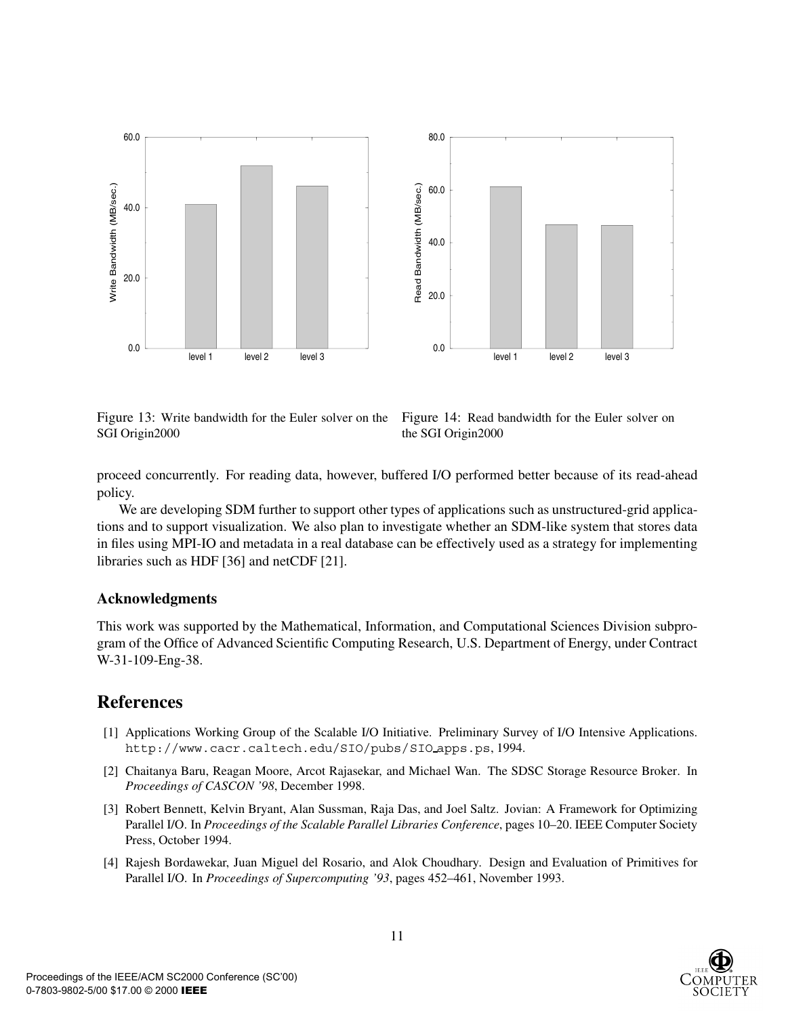

Figure 13: Write bandwidth for the Euler solver on the SGI Origin2000

Figure 14: Read bandwidth for the Euler solver on the SGI Origin2000

proceed concurrently. For reading data, however, buffered I/O performed better because of its read-ahead policy.

We are developing SDM further to support other types of applications such as unstructured-grid applications and to support visualization. We also plan to investigate whether an SDM-like system that stores data in files using MPI-IO and metadata in a real database can be effectively used as a strategy for implementing libraries such as HDF [36] and netCDF [21].

#### **Acknowledgments**

This work was supported by the Mathematical, Information, and Computational Sciences Division subprogram of the Office of Advanced Scientific Computing Research, U.S. Department of Energy, under Contract W-31-109-Eng-38.

### **References**

- [1] Applications Working Group of the Scalable I/O Initiative. Preliminary Survey of I/O Intensive Applications. http://www.cacr.caltech.edu/SIO/pubs/SIO apps.ps, 1994.
- [2] Chaitanya Baru, Reagan Moore, Arcot Rajasekar, and Michael Wan. The SDSC Storage Resource Broker. In *Proceedings of CASCON '98*, December 1998.
- [3] Robert Bennett, Kelvin Bryant, Alan Sussman, Raja Das, and Joel Saltz. Jovian: A Framework for Optimizing Parallel I/O. In *Proceedings of the Scalable Parallel Libraries Conference*, pages 10–20. IEEE Computer Society Press, October 1994.
- [4] Rajesh Bordawekar, Juan Miguel del Rosario, and Alok Choudhary. Design and Evaluation of Primitives for Parallel I/O. In *Proceedings of Supercomputing '93*, pages 452–461, November 1993.

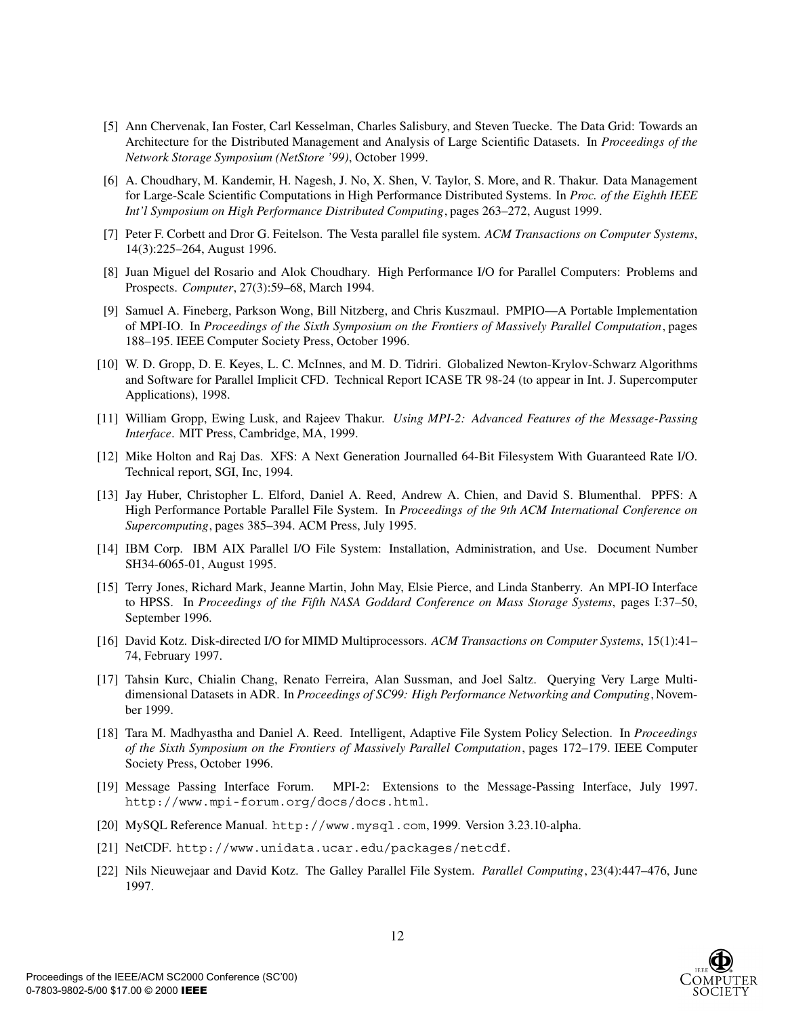- [5] Ann Chervenak, Ian Foster, Carl Kesselman, Charles Salisbury, and Steven Tuecke. The Data Grid: Towards an Architecture for the Distributed Management and Analysis of Large Scientific Datasets. In *Proceedings of the Network Storage Symposium (NetStore '99)*, October 1999.
- [6] A. Choudhary, M. Kandemir, H. Nagesh, J. No, X. Shen, V. Taylor, S. More, and R. Thakur. Data Management for Large-Scale Scientific Computations in High Performance Distributed Systems. In *Proc. of the Eighth IEEE Int'l Symposium on High Performance Distributed Computing*, pages 263–272, August 1999.
- [7] Peter F. Corbett and Dror G. Feitelson. The Vesta parallel file system. *ACM Transactions on Computer Systems*, 14(3):225–264, August 1996.
- [8] Juan Miguel del Rosario and Alok Choudhary. High Performance I/O for Parallel Computers: Problems and Prospects. *Computer*, 27(3):59–68, March 1994.
- [9] Samuel A. Fineberg, Parkson Wong, Bill Nitzberg, and Chris Kuszmaul. PMPIO—A Portable Implementation of MPI-IO. In *Proceedings of the Sixth Symposium on the Frontiers of Massively Parallel Computation*, pages 188–195. IEEE Computer Society Press, October 1996.
- [10] W. D. Gropp, D. E. Keyes, L. C. McInnes, and M. D. Tidriri. Globalized Newton-Krylov-Schwarz Algorithms and Software for Parallel Implicit CFD. Technical Report ICASE TR 98-24 (to appear in Int. J. Supercomputer Applications), 1998.
- [11] William Gropp, Ewing Lusk, and Rajeev Thakur. *Using MPI-2: Advanced Features of the Message-Passing Interface*. MIT Press, Cambridge, MA, 1999.
- [12] Mike Holton and Raj Das. XFS: A Next Generation Journalled 64-Bit Filesystem With Guaranteed Rate I/O. Technical report, SGI, Inc, 1994.
- [13] Jay Huber, Christopher L. Elford, Daniel A. Reed, Andrew A. Chien, and David S. Blumenthal. PPFS: A High Performance Portable Parallel File System. In *Proceedings of the 9th ACM International Conference on Supercomputing*, pages 385–394. ACM Press, July 1995.
- [14] IBM Corp. IBM AIX Parallel I/O File System: Installation, Administration, and Use. Document Number SH34-6065-01, August 1995.
- [15] Terry Jones, Richard Mark, Jeanne Martin, John May, Elsie Pierce, and Linda Stanberry. An MPI-IO Interface to HPSS. In *Proceedings of the Fifth NASA Goddard Conference on Mass Storage Systems*, pages I:37–50, September 1996.
- [16] David Kotz. Disk-directed I/O for MIMD Multiprocessors. *ACM Transactions on Computer Systems*, 15(1):41– 74, February 1997.
- [17] Tahsin Kurc, Chialin Chang, Renato Ferreira, Alan Sussman, and Joel Saltz. Querying Very Large Multidimensional Datasets in ADR. In *Proceedings of SC99: High Performance Networking and Computing*, November 1999.
- [18] Tara M. Madhyastha and Daniel A. Reed. Intelligent, Adaptive File System Policy Selection. In *Proceedings of the Sixth Symposium on the Frontiers of Massively Parallel Computation*, pages 172–179. IEEE Computer Society Press, October 1996.
- [19] Message Passing Interface Forum. MPI-2: Extensions to the Message-Passing Interface, July 1997. http://www.mpi-forum.org/docs/docs.html.
- [20] MySQL Reference Manual. http://www.mysql.com, 1999. Version 3.23.10-alpha.
- [21] NetCDF. http://www.unidata.ucar.edu/packages/netcdf.
- [22] Nils Nieuwejaar and David Kotz. The Galley Parallel File System. *Parallel Computing*, 23(4):447–476, June 1997.